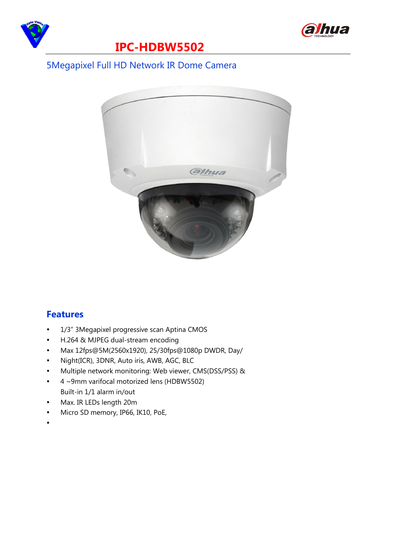



#### **IPC-HDBW5502**

#### 5Megapixel Full HD Network IR Dome Camera



#### **Features**

- $\bullet$ 1/3" 3Megapixel progressive scan Aptina CMOS
- $\bullet$ H.264 & MJPEG dual-stream encoding
- $\bullet$ Max 12fps@5M(2560x1920), 25/30fps@1080p DWDR, Day/
- $\bullet$ Night(ICR), 3DNR, Auto iris, AWB, AGC, BLC
- $\bullet$ Multiple network monitoring: Web viewer, CMS(DSS/PSS) &
- $\bullet$ 4 ~9mm varifocal motorized lens (HDBW5502) Built-in 1/1 alarm in/out
- $\bullet$ Max. IR LEDs length 20m
- $\bullet$ Micro SD memory, IP66, IK10, PoE,
- $\bullet$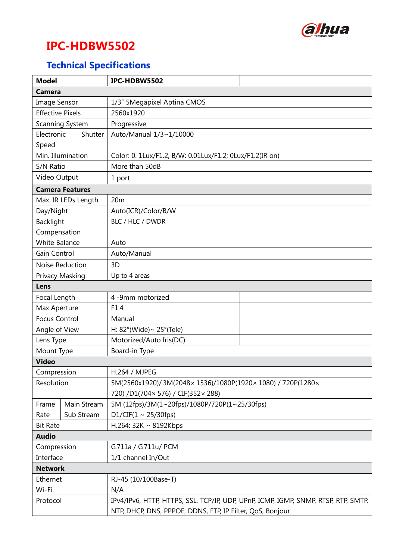

# **IPC-HDBW5502**

## **Technical Specifications**

| <b>Model</b>            |                        | IPC-HDBW5502                                                                       |  |  |  |  |
|-------------------------|------------------------|------------------------------------------------------------------------------------|--|--|--|--|
| <b>Camera</b>           |                        |                                                                                    |  |  |  |  |
| <b>Image Sensor</b>     |                        | 1/3" 5Megapixel Aptina CMOS                                                        |  |  |  |  |
| <b>Effective Pixels</b> |                        | 2560x1920                                                                          |  |  |  |  |
| Scanning System         |                        | Progressive                                                                        |  |  |  |  |
| Electronic<br>Shutter   |                        | Auto/Manual 1/3~1/10000                                                            |  |  |  |  |
| Speed                   |                        |                                                                                    |  |  |  |  |
| Min. Illumination       |                        | Color: 0. 1Lux/F1.2, B/W: 0.01Lux/F1.2; 0Lux/F1.2(IR on)                           |  |  |  |  |
| S/N Ratio               |                        | More than 50dB                                                                     |  |  |  |  |
| Video Output            |                        | 1 port                                                                             |  |  |  |  |
|                         | <b>Camera Features</b> |                                                                                    |  |  |  |  |
| Max. IR LEDs Length     |                        | 20m                                                                                |  |  |  |  |
| Day/Night               |                        | Auto(ICR)/Color/B/W                                                                |  |  |  |  |
| <b>Backlight</b>        |                        | BLC / HLC / DWDR                                                                   |  |  |  |  |
| Compensation            |                        |                                                                                    |  |  |  |  |
| <b>White Balance</b>    |                        | Auto                                                                               |  |  |  |  |
| Gain Control            |                        | Auto/Manual                                                                        |  |  |  |  |
|                         | Noise Reduction        | 3D                                                                                 |  |  |  |  |
| Privacy Masking         |                        | Up to 4 areas                                                                      |  |  |  |  |
| Lens                    |                        |                                                                                    |  |  |  |  |
| Focal Length            |                        | 4 -9mm motorized                                                                   |  |  |  |  |
| Max Aperture            |                        | F1.4                                                                               |  |  |  |  |
| <b>Focus Control</b>    |                        | Manual                                                                             |  |  |  |  |
| Angle of View           |                        | H: $82^{\circ}$ (Wide) ~ $25^{\circ}$ (Tele)                                       |  |  |  |  |
| Lens Type               |                        | Motorized/Auto Iris(DC)                                                            |  |  |  |  |
| Mount Type              |                        | Board-in Type                                                                      |  |  |  |  |
| <b>Video</b>            |                        |                                                                                    |  |  |  |  |
| Compression             |                        | H.264 / MJPEG                                                                      |  |  |  |  |
| Resolution              |                        | 5M(2560x1920)/3M(2048x1536)/1080P(1920x1080)/720P(1280x                            |  |  |  |  |
|                         |                        | 720) /D1(704×576) / CIF(352×288)                                                   |  |  |  |  |
| Frame                   | Main Stream            | 5M (12fps)/3M(1~20fps)/1080P/720P(1~25/30fps)                                      |  |  |  |  |
| Rate                    | Sub Stream             | D1/CIF(1 ~ 25/30fps)                                                               |  |  |  |  |
| <b>Bit Rate</b>         |                        | H.264: $32K \sim 8192Kbps$                                                         |  |  |  |  |
| <b>Audio</b>            |                        |                                                                                    |  |  |  |  |
| Compression             |                        | G.711a / G.711u/ PCM                                                               |  |  |  |  |
| Interface               |                        | 1/1 channel In/Out                                                                 |  |  |  |  |
| <b>Network</b>          |                        |                                                                                    |  |  |  |  |
| Ethernet                |                        | RJ-45 (10/100Base-T)                                                               |  |  |  |  |
| Wi-Fi                   |                        | N/A                                                                                |  |  |  |  |
| Protocol                |                        | IPv4/IPv6, HTTP, HTTPS, SSL, TCP/IP, UDP, UPnP, ICMP, IGMP, SNMP, RTSP, RTP, SMTP, |  |  |  |  |
|                         |                        | NTP, DHCP, DNS, PPPOE, DDNS, FTP, IP Filter, QoS, Bonjour                          |  |  |  |  |